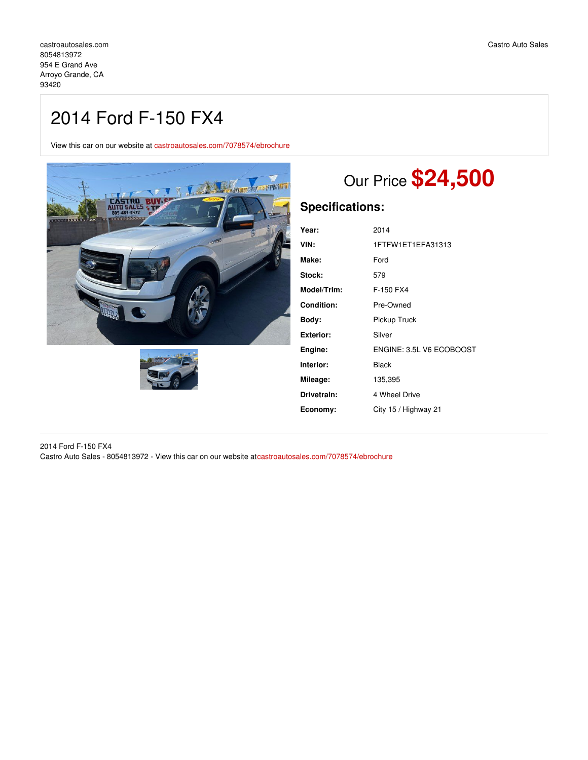## 2014 Ford F-150 FX4

View this car on our website at [castroautosales.com/7078574/ebrochure](https://castroautosales.com/vehicle/7078574/2014-ford-f-150-fx4-arroyo-grande-ca-93420/7078574/ebrochure)





# Our Price **\$24,500**

## **Specifications:**

| 2014                     |
|--------------------------|
| 1FTFW1ET1EFA31313        |
| Ford                     |
| 579                      |
| F-150 FX4                |
| Pre-Owned                |
| Pickup Truck             |
| Silver                   |
| ENGINE: 3.5L V6 ECOBOOST |
| Black                    |
| 135,395                  |
| 4 Wheel Drive            |
| City 15 / Highway 21     |
|                          |

2014 Ford F-150 FX4 Castro Auto Sales - 8054813972 - View this car on our website at[castroautosales.com/7078574/ebrochure](https://castroautosales.com/vehicle/7078574/2014-ford-f-150-fx4-arroyo-grande-ca-93420/7078574/ebrochure)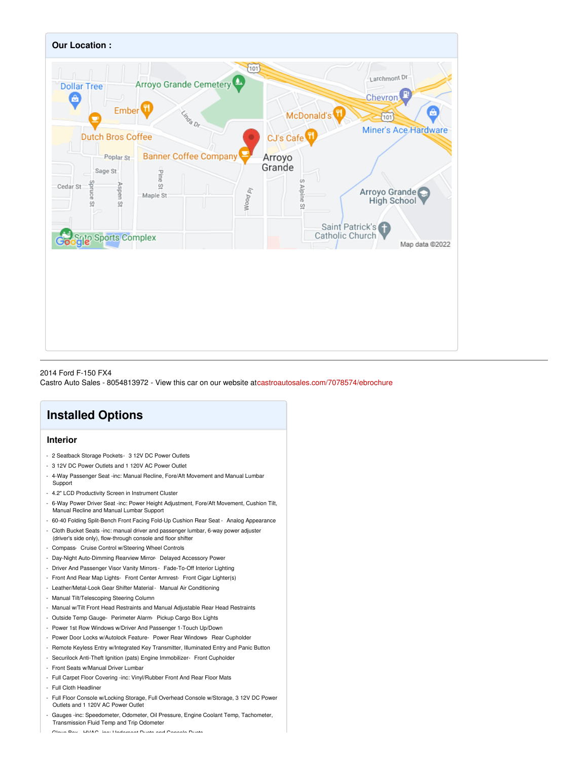

### 2014 Ford F-150 FX4 Castro Auto Sales - 8054813972 - View this car on our website at[castroautosales.com/7078574/ebrochure](https://castroautosales.com/vehicle/7078574/2014-ford-f-150-fx4-arroyo-grande-ca-93420/7078574/ebrochure)

## **Installed Options**

## **Interior**

- 2 Seatback Storage Pockets- 3 12V DC Power Outlets
- 3 12V DC Power Outlets and 1 120V AC Power Outlet
- 4-Way Passenger Seat -inc: Manual Recline, Fore/Aft Movement and Manual Lumbar Support
- 4.2" LCD Productivity Screen in Instrument Cluster
- 6-Way Power Driver Seat -inc: Power Height Adjustment, Fore/Aft Movement, Cushion Tilt, Manual Recline and Manual Lumbar Support
- 60-40 Folding Split-Bench Front Facing Fold-Up Cushion Rear Seat Analog Appearance
- Cloth Bucket Seats -inc: manual driver and passenger lumbar, 6-way power adjuster
- (driver's side only), flow-through console and floor shifter
- Compass- Cruise Control w/Steering Wheel Controls
- Day-Night Auto-Dimming Rearview Mirror- Delayed Accessory Power
- Driver And Passenger Visor Vanity Mirrors Fade-To-Off Interior Lighting
- Front And Rear Map Lights- Front Center Armrest- Front Cigar Lighter(s)
- Leather/Metal-Look Gear Shifter Material- Manual Air Conditioning
- Manual Tilt/Telescoping Steering Column
- Manual w/Tilt Front Head Restraints and Manual Adjustable Rear Head Restraints
- Outside Temp Gauge- Perimeter Alarm- Pickup Cargo Box Lights
- Power 1st Row Windows w/Driver And Passenger 1-Touch Up/Down
- Power Door Locks w/Autolock Feature- Power Rear Windows- Rear Cupholder
- Remote Keyless Entry w/Integrated Key Transmitter, Illuminated Entry and Panic Button
- Securilock Anti-Theft Ignition (pats) Engine Immobilizer- Front Cupholder
- Front Seats w/Manual Driver Lumbar
- Full Carpet Floor Covering -inc: Vinyl/Rubber Front And Rear Floor Mats
- Full Cloth Headliner
- Full Floor Console w/Locking Storage, Full Overhead Console w/Storage, 3 12V DC Power Outlets and 1 120V AC Power Outlet
- Gauges -inc: Speedometer, Odometer, Oil Pressure, Engine Coolant Temp, Tachometer, Transmission Fluid Temp and Trip Odometer

- Glove Box- HVAC -inc: Underseat Ducts and Console Ducts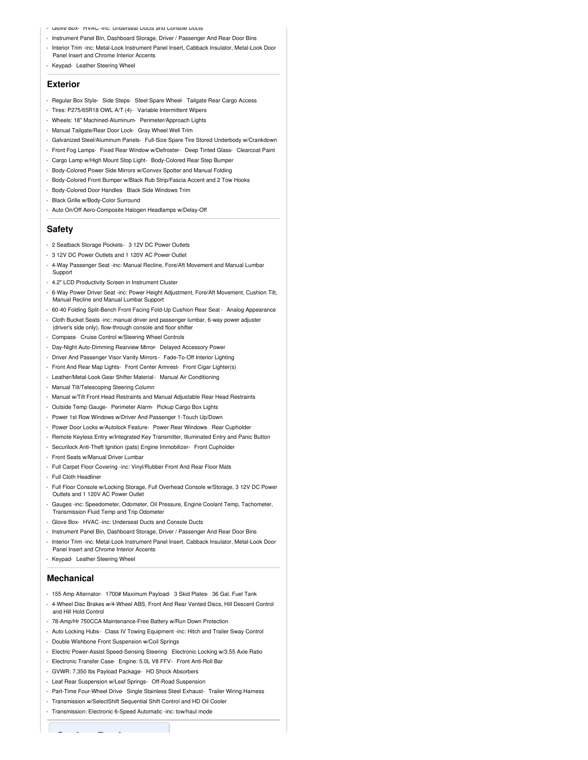- Glove Box- HVAC -inc: Underseat Ducts and Console Ducts
- Instrument Panel Bin, Dashboard Storage, Driver / Passenger And Rear Door Bins
- Interior Trim -inc: Metal-Look Instrument Panel Insert, Cabback Insulator, Metal-Look Door Panel Insert and Chrome Interior Accents
- Keypad- Leather Steering Wheel

## **Exterior**

- Regular Box Style- Side Steps- Steel Spare Wheel- Tailgate Rear Cargo Access
- Tires: P275/65R18 OWL A/T (4)- Variable Intermittent Wipers
- Wheels: 18" Machined-Aluminum- Perimeter/Approach Lights
- Manual Tailgate/Rear Door Lock- Gray Wheel Well Trim
- Galvanized Steel/Aluminum Panels- Full-Size Spare Tire Stored Underbody w/Crankdown
- Front Fog Lamps- Fixed Rear Window w/Defroster- Deep Tinted Glass- Clearcoat Paint
- Cargo Lamp w/High Mount Stop Light- Body-Colored Rear Step Bumper
- Body-Colored Power Side Mirrors w/Convex Spotter and Manual Folding
- Body-Colored Front Bumper w/Black Rub Strip/Fascia Accent and 2 Tow Hooks
- Body-Colored Door Handles- Black Side Windows Trim
- Black Grille w/Body-Color Surround
- Auto On/Off Aero-Composite Halogen Headlamps w/Delay-Off

#### **Safety**

- 2 Seatback Storage Pockets- 3 12V DC Power Outlets
- 3 12V DC Power Outlets and 1 120V AC Power Outlet
- 4-Way Passenger Seat -inc: Manual Recline, Fore/Aft Movement and Manual Lumbar Support
- 4.2" LCD Productivity Screen in Instrument Cluster
- 6-Way Power Driver Seat -inc: Power Height Adjustment, Fore/Aft Movement, Cushion Tilt, Manual Recline and Manual Lumbar Support
- 60-40 Folding Split-Bench Front Facing Fold-Up Cushion Rear Seat Analog Appearance - Cloth Bucket Seats -inc: manual driver and passenger lumbar, 6-way power adjuster
- (driver's side only), flow-through console and floor shifter
- Compass- Cruise Control w/Steering Wheel Controls
- Day-Night Auto-Dimming Rearview Mirror- Delayed Accessory Power
- Driver And Passenger Visor Vanity Mirrors Fade-To-Off Interior Lighting
- Front And Rear Map Lights- Front Center Armrest- Front Cigar Lighter(s)
- Leather/Metal-Look Gear Shifter Material- Manual Air Conditioning
- Manual Tilt/Telescoping Steering Column
- Manual w/Tilt Front Head Restraints and Manual Adjustable Rear Head Restraints
- Outside Temp Gauge- Perimeter Alarm- Pickup Cargo Box Lights
- Power 1st Row Windows w/Driver And Passenger 1-Touch Up/Down
- Power Door Locks w/Autolock Feature- Power Rear Windows- Rear Cupholder
- Remote Keyless Entry w/Integrated Key Transmitter, Illuminated Entry and Panic Button
- Securilock Anti-Theft Ignition (pats) Engine Immobilizer- Front Cupholder
- Front Seats w/Manual Driver Lumbar
- Full Carpet Floor Covering -inc: Vinyl/Rubber Front And Rear Floor Mats
- Full Cloth Headliner
- Full Floor Console w/Locking Storage, Full Overhead Console w/Storage, 3 12V DC Power Outlets and 1 120V AC Power Outlet
- Gauges -inc: Speedometer, Odometer, Oil Pressure, Engine Coolant Temp, Tachometer, Transmission Fluid Temp and Trip Odometer
- Glove Box- HVAC -inc: Underseat Ducts and Console Ducts
- Instrument Panel Bin, Dashboard Storage, Driver / Passenger And Rear Door Bins
- Interior Trim -inc: Metal-Look Instrument Panel Insert, Cabback Insulator, Metal-Look Door Panel Insert and Chrome Interior Accents
- Keypad- Leather Steering Wheel

### **Mechanical**

- 155 Amp Alternator- 1700# Maximum Payload- 3 Skid Plates- 36 Gal. Fuel Tank
- 4-Wheel Disc Brakes w/4-Wheel ABS, Front And Rear Vented Discs, Hill Descent Control and Hill Hold Control
- 78-Amp/Hr 750CCA Maintenance-Free Battery w/Run Down Protection
- Auto Locking Hubs- Class IV Towing Equipment -inc: Hitch and Trailer Sway Control
- Double Wishbone Front Suspension w/Coil Springs
- Electric Power-Assist Speed-Sensing Steering- Electronic Locking w/3.55 Axle Ratio
- Electronic Transfer Case- Engine: 5.0L V8 FFV- Front Anti-Roll Bar
- GVWR: 7,350 lbs Payload Package- HD Shock Absorbers
- Leaf Rear Suspension w/Leaf Springs- Off-Road Suspension
- Part-Time Four-Wheel Drive- Single Stainless Steel Exhaust- Trailer Wiring Harness
- Transmission w/SelectShift Sequential Shift Control and HD Oil Cooler
- Transmission: Electronic 6-Speed Automatic -inc: tow/haul mode